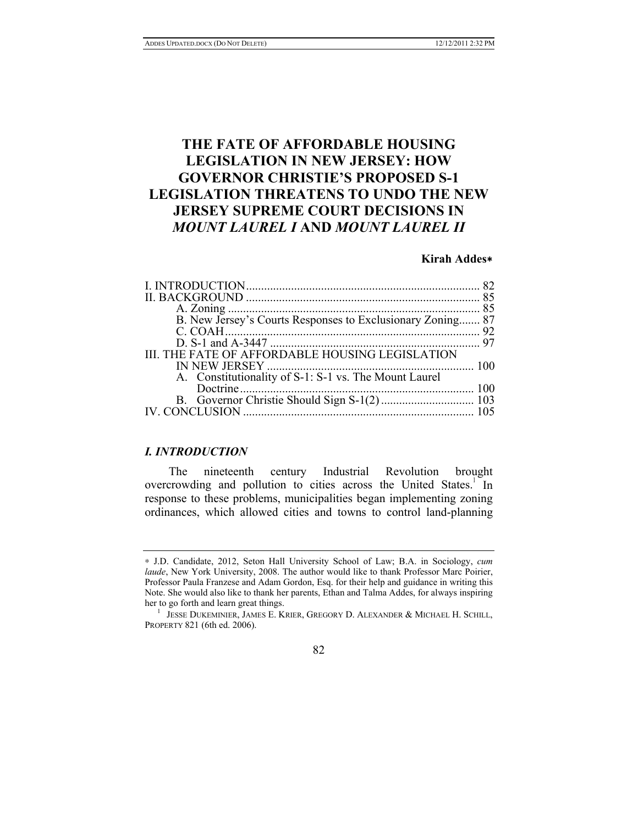# **THE FATE OF AFFORDABLE HOUSING LEGISLATION IN NEW JERSEY: HOW GOVERNOR CHRISTIE'S PROPOSED S-1 LEGISLATION THREATENS TO UNDO THE NEW JERSEY SUPREME COURT DECISIONS IN**  *MOUNT LAUREL I* **AND** *MOUNT LAUREL II*

# **Kirah Addes**∗

| B. New Jersey's Courts Responses to Exclusionary Zoning 87 |  |
|------------------------------------------------------------|--|
|                                                            |  |
|                                                            |  |
| III. THE FATE OF AFFORDABLE HOUSING LEGISLATION            |  |
|                                                            |  |
| A. Constitutionality of S-1: S-1 vs. The Mount Laurel      |  |
|                                                            |  |
|                                                            |  |
|                                                            |  |
|                                                            |  |

# *I. INTRODUCTION*

The nineteenth century Industrial Revolution brought overcrowding and pollution to cities across the United States.<sup>1</sup> In response to these problems, municipalities began implementing zoning ordinances, which allowed cities and towns to control land-planning

 $^{\rm 1}$  JESSE DUKEMINIER, JAMES E. KRIER, GREGORY D. ALEXANDER & MICHAEL H. SCHILL, PROPERTY 821 (6th ed. 2006).



<sup>∗</sup> J.D. Candidate, 2012, Seton Hall University School of Law; B.A. in Sociology, *cum laude*, New York University, 2008. The author would like to thank Professor Marc Poirier, Professor Paula Franzese and Adam Gordon, Esq. for their help and guidance in writing this Note. She would also like to thank her parents, Ethan and Talma Addes, for always inspiring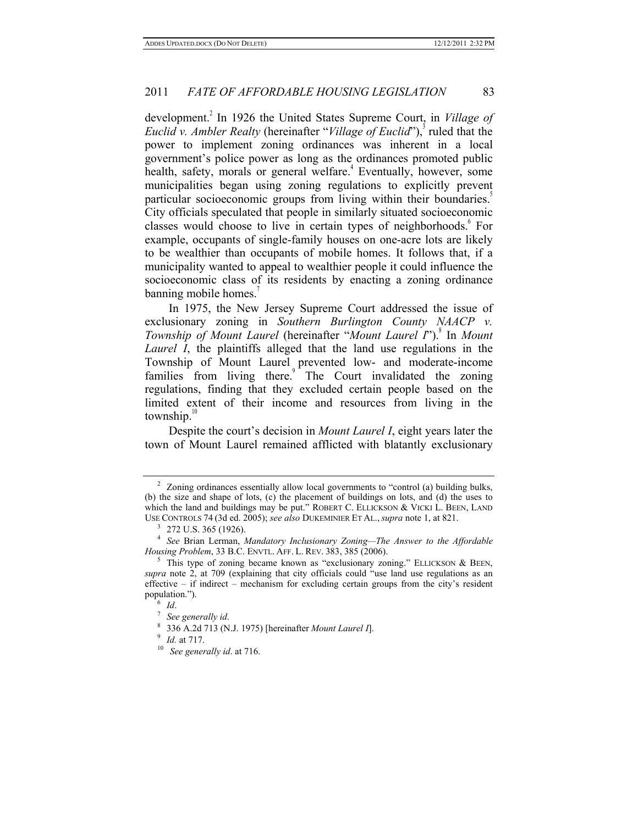development.<sup>2</sup> In 1926 the United States Supreme Court, in *Village of Euclid v. Ambler Realty* (hereinafter "*Village of Euclid*"),<sup>3</sup> ruled that the power to implement zoning ordinances was inherent in a local government's police power as long as the ordinances promoted public health, safety, morals or general welfare.<sup>4</sup> Eventually, however, some municipalities began using zoning regulations to explicitly prevent particular socioeconomic groups from living within their boundaries.<sup>3</sup> City officials speculated that people in similarly situated socioeconomic classes would choose to live in certain types of neighborhoods. For example, occupants of single-family houses on one-acre lots are likely to be wealthier than occupants of mobile homes. It follows that, if a municipality wanted to appeal to wealthier people it could influence the socioeconomic class of its residents by enacting a zoning ordinance banning mobile homes.<sup>7</sup>

In 1975, the New Jersey Supreme Court addressed the issue of exclusionary zoning in *Southern Burlington County NAACP v. Township of Mount Laurel* (hereinafter "*Mount Laurel I*").<sup>8</sup> In *Mount Laurel I*, the plaintiffs alleged that the land use regulations in the Township of Mount Laurel prevented low- and moderate-income families from living there.<sup>9</sup> The Court invalidated the zoning regulations, finding that they excluded certain people based on the limited extent of their income and resources from living in the township. $\frac{1}{2}$ 

Despite the court's decision in *Mount Laurel I*, eight years later the town of Mount Laurel remained afflicted with blatantly exclusionary

 $2\degree$  Zoning ordinances essentially allow local governments to "control (a) building bulks, (b) the size and shape of lots, (c) the placement of buildings on lots, and (d) the uses to which the land and buildings may be put." ROBERT C. ELLICKSON & VICKI L. BEEN, LAND

USE CONTROLS 74 (3d ed. 2005); *see also* DUKEMINIER ET AL., *supra* note 1, at 821.<br><sup>3</sup> 272 U.S. 365 (1926).<br><sup>4</sup> *See* Brian Lerman, *Mandatory Inclusionary Zoning—The Answer to the Affordable Housing Problem*, 33 B.C. ENVTL. AFF. L. REV. 383, 385 (2006).<br><sup>5</sup> This type of zoning became known as "exclusionary zoning." ELLICKSON & BEEN,

*supra* note 2, at 709 (explaining that city officials could "use land use regulations as an effective  $-$  if indirect  $-$  mechanism for excluding certain groups from the city's resident population.").

population."). 6 *Id*. 7 *See generally id*. 8 336 A.2d 713 (N.J. 1975) [hereinafter *Mount Laurel I*]. 9 *Id.* at 717. 10 *See generally id*. at 716.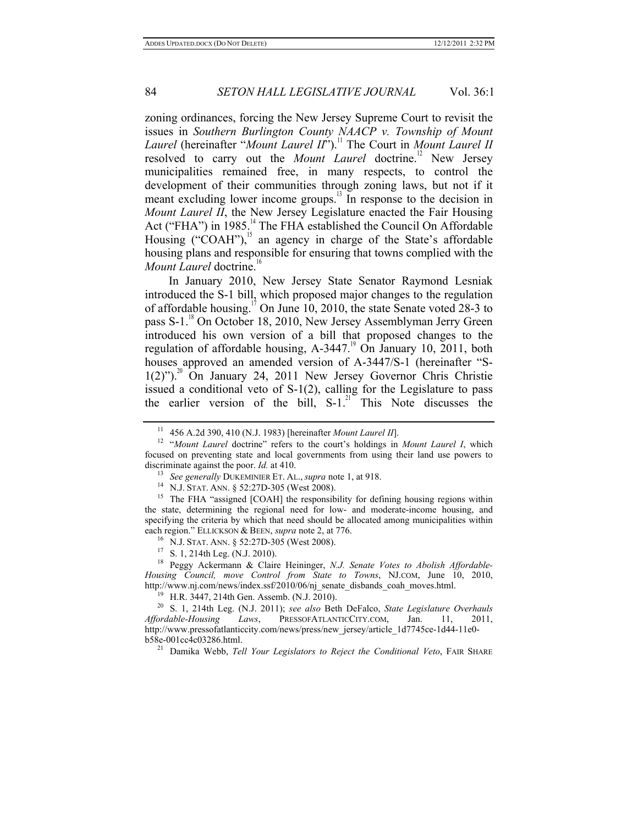zoning ordinances, forcing the New Jersey Supreme Court to revisit the issues in *Southern Burlington County NAACP v. Township of Mount Laurel* (hereinafter "*Mount Laurel II*").<sup>11</sup> The Court in *Mount Laurel II* resolved to carry out the *Mount Laurel* doctrine.<sup>12</sup> New Jersey municipalities remained free, in many respects, to control the development of their communities through zoning laws, but not if it meant excluding lower income groups.<sup>13</sup> In response to the decision in *Mount Laurel II*, the New Jersey Legislature enacted the Fair Housing Act ("FHA") in 1985.<sup>14</sup> The FHA established the Council On Affordable Housing ("COAH"), $15$  an agency in charge of the State's affordable housing plans and responsible for ensuring that towns complied with the *Mount Laurel* doctrine.<sup>10</sup>

In January 2010, New Jersey State Senator Raymond Lesniak introduced the S-1 bill, which proposed major changes to the regulation of affordable housing.<sup>17</sup> On June 10, 2010, the state Senate voted 28-3 to pass S-1.<sup>18</sup> On October 18, 2010, New Jersey Assemblyman Jerry Green introduced his own version of a bill that proposed changes to the regulation of affordable housing,  $A-3447$ <sup>19</sup> On January 10, 2011, both houses approved an amended version of A-3447/S-1 (hereinafter "S- $1(2)$ ").<sup>20</sup> On January 24, 2011 New Jersey Governor Chris Christie issued a conditional veto of S-1(2), calling for the Legislature to pass the earlier version of the bill,  $S-1$ .<sup>21</sup> This Note discusses the

the state, determining the regional need for low- and moderate-income housing, and specifying the criteria by which that need should be allocated among municipalities within each region." ELLICKSON & BEEN, *supra* note 2, at 776.<br><sup>16</sup> N.J. STAT. ANN. § 52:27D-305 (West 2008).<br><sup>17</sup> S. 1, 214th Leg. (N.J. 2010).<br><sup>18</sup> Peggy Ackermann & Claire Heininger, *N.J. Senate Votes to Abolish Affordable*-

<sup>11</sup> 456 A.2d 390, 410 (N.J. 1983) [hereinafter *Mount Laurel II*]. 12 "*Mount Laurel* doctrine" refers to the court's holdings in *Mount Laurel I*, which focused on preventing state and local governments from using their land use powers to discriminate against the poor. *Id.* at 410.<br><sup>13</sup> See generally DUKEMINIER ET. AL., *supra* note 1, at 918.<br><sup>14</sup> N.J. STAT. ANN. § 52:27D-305 (West 2008).<br><sup>15</sup> The FHA "assigned [COAH] the responsibility for defining hous

*Housing Council, move Control from State to Towns*, NJ.COM, June 10, 2010,

http://www.nj.com/news/index.ssf/2010/06/nj\_senate\_disbands\_coah\_moves.html.<br><sup>19</sup> H.R. 3447, 214th Gen. Assemb. (N.J. 2010).<br><sup>20</sup> S. 1, 214th Leg. (N.J. 2011); *see also* Beth DeFalco, *State Legislature Overhauls <br><i>Afford Affordable-Housing Laws*, PRESSOFATLANTICCITY.COM, Jan. 11, 2011, http://www.pressofatlanticcity.com/news/press/new\_jersey/article\_1d7745ce-1d44-11e0 b58e-001cc4c03286.html. 21 Damika Webb, *Tell Your Legislators to Reject the Conditional Veto*, FAIR SHARE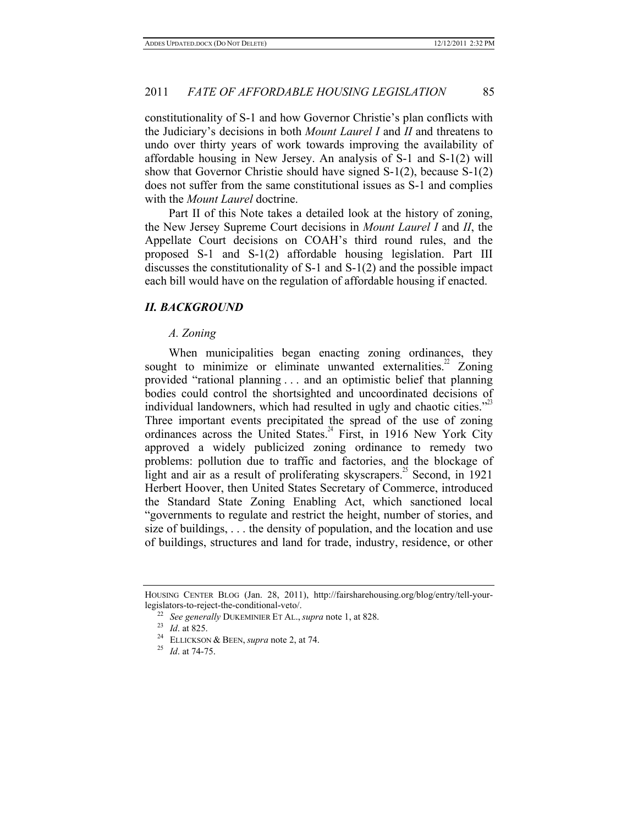constitutionality of S-1 and how Governor Christie's plan conflicts with the Judiciary's decisions in both *Mount Laurel I* and *II* and threatens to undo over thirty years of work towards improving the availability of affordable housing in New Jersey. An analysis of S-1 and S-1(2) will show that Governor Christie should have signed S-1(2), because S-1(2) does not suffer from the same constitutional issues as S-1 and complies with the *Mount Laurel* doctrine.

Part II of this Note takes a detailed look at the history of zoning, the New Jersey Supreme Court decisions in *Mount Laurel I* and *II*, the Appellate Court decisions on COAH's third round rules, and the proposed S-1 and S-1(2) affordable housing legislation. Part III discusses the constitutionality of S-1 and S-1(2) and the possible impact each bill would have on the regulation of affordable housing if enacted.

#### *II. BACKGROUND*

#### *A. Zoning*

When municipalities began enacting zoning ordinances, they sought to minimize or eliminate unwanted externalities.<sup>22</sup> Zoning provided "rational planning . . . and an optimistic belief that planning bodies could control the shortsighted and uncoordinated decisions of individual landowners, which had resulted in ugly and chaotic cities."<sup>23</sup> Three important events precipitated the spread of the use of zoning ordinances across the United States.<sup>24</sup> First, in 1916 New York City approved a widely publicized zoning ordinance to remedy two problems: pollution due to traffic and factories, and the blockage of light and air as a result of proliferating skyscrapers.<sup>25</sup> Second, in 1921 Herbert Hoover, then United States Secretary of Commerce, introduced the Standard State Zoning Enabling Act, which sanctioned local "governments to regulate and restrict the height, number of stories, and size of buildings, . . . the density of population, and the location and use of buildings, structures and land for trade, industry, residence, or other

HOUSING CENTER BLOG (Jan. 28, 2011), http://fairsharehousing.org/blog/entry/tell-yourlegislators-to-reject-the-conditional-veto/. 22 *See generally* DUKEMINIER ET AL., *supra* note 1, at 828. 23 *Id*. at 825. 24 ELLICKSON & BEEN, *supra* note 2, at 74. 25 *Id*. at 74-75.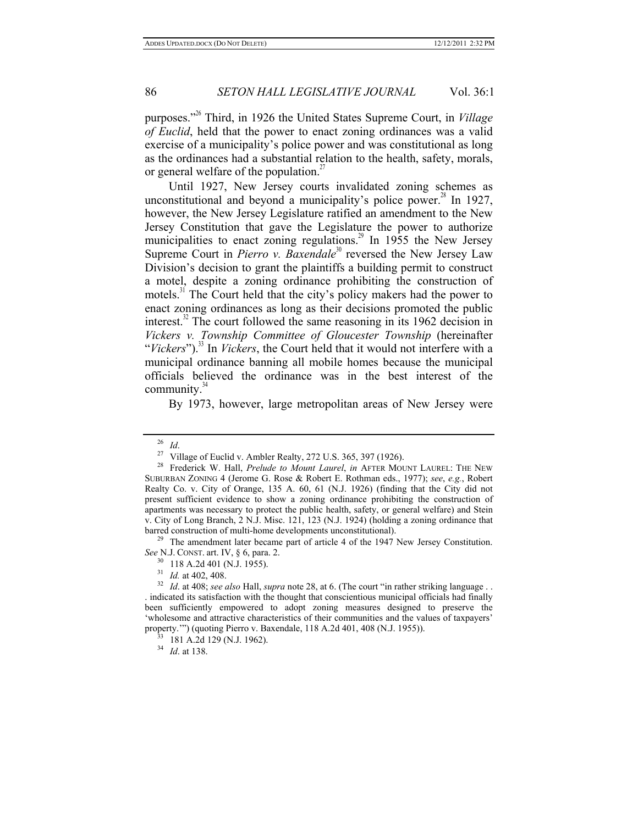purposes."26 Third, in 1926 the United States Supreme Court, in *Village of Euclid*, held that the power to enact zoning ordinances was a valid exercise of a municipality's police power and was constitutional as long as the ordinances had a substantial relation to the health, safety, morals, or general welfare of the population.<sup>27</sup>

Until 1927, New Jersey courts invalidated zoning schemes as unconstitutional and beyond a municipality's police power.<sup>28</sup> In 1927, however, the New Jersey Legislature ratified an amendment to the New Jersey Constitution that gave the Legislature the power to authorize municipalities to enact zoning regulations.<sup>29</sup> In 1955 the New Jersey Supreme Court in *Pierro v. Baxendale*<sup>30</sup> reversed the New Jersey Law Division's decision to grant the plaintiffs a building permit to construct a motel, despite a zoning ordinance prohibiting the construction of motels.<sup>31</sup> The Court held that the city's policy makers had the power to enact zoning ordinances as long as their decisions promoted the public interest.<sup>32</sup> The court followed the same reasoning in its 1962 decision in *Vickers v. Township Committee of Gloucester Township* (hereinafter "*Vickers*").<sup>33</sup> In *Vickers*, the Court held that it would not interfere with a municipal ordinance banning all mobile homes because the municipal officials believed the ordinance was in the best interest of the community. $34$ 

By 1973, however, large metropolitan areas of New Jersey were

*See* N.J. CONST. art. IV, § 6, para. 2.<br><sup>30</sup> 118 A.2d 401 (N.J. 1955).<br><sup>31</sup> *Id.* at 402, 408.<br><sup>32</sup> *Id.* at 408; *see also* Hall, *supra* note 28, at 6. (The court "in rather striking language . .

<sup>&</sup>lt;sup>26</sup> *Id.* 27 Village of Euclid v. Ambler Realty, 272 U.S. 365, 397 (1926).<br><sup>27</sup> Village of Euclid v. Ambler Realty, 272 U.S. 365, 397 (1926).<br><sup>28</sup> Frederick W. Hall, *Prelude to Mount Laurel*, *in* AFTER MOUNT LAUREL: THE SUBURBAN ZONING 4 (Jerome G. Rose & Robert E. Rothman eds., 1977); *see*, *e.g.*, Robert Realty Co. v. City of Orange, 135 A. 60, 61 (N.J. 1926) (finding that the City did not present sufficient evidence to show a zoning ordinance prohibiting the construction of apartments was necessary to protect the public health, safety, or general welfare) and Stein v. City of Long Branch, 2 N.J. Misc. 121, 123 (N.J. 1924) (holding a zoning ordinance that barred construction of multi-home developments unconstitutional).<br><sup>29</sup> The amendment later became part of article 4 of the 1947 New Jersey Constitution.

<sup>.</sup> indicated its satisfaction with the thought that conscientious municipal officials had finally been sufficiently empowered to adopt zoning measures designed to preserve the 'wholesome and attractive characteristics of their communities and the values of taxpayers' property.'") (quoting Pierro v. Baxendale, 118 A.2d 401, 408 (N.J. 1955)). 33 181 A.2d 129 (N.J. 1962). 34 *Id*. at 138.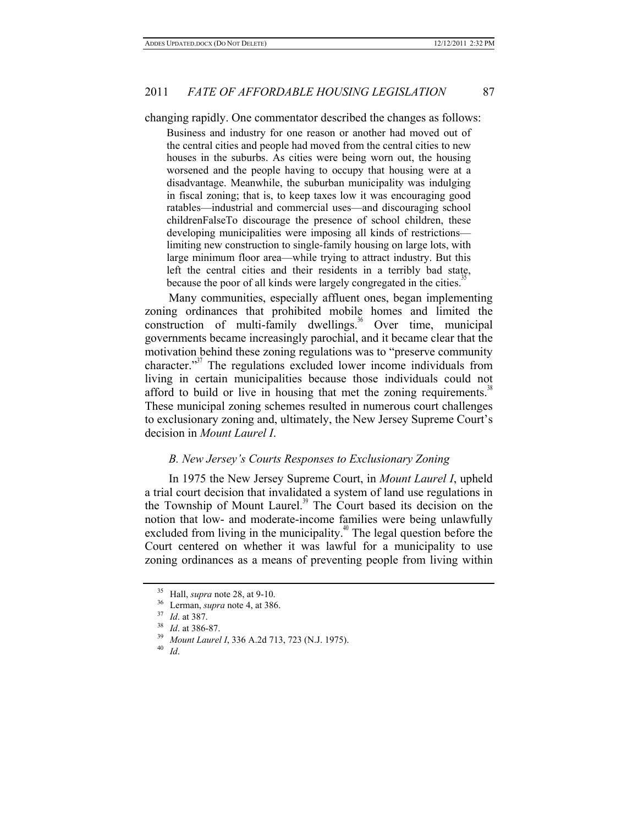changing rapidly. One commentator described the changes as follows:

Business and industry for one reason or another had moved out of the central cities and people had moved from the central cities to new houses in the suburbs. As cities were being worn out, the housing worsened and the people having to occupy that housing were at a disadvantage. Meanwhile, the suburban municipality was indulging in fiscal zoning; that is, to keep taxes low it was encouraging good ratables—industrial and commercial uses—and discouraging school childrenFalseTo discourage the presence of school children, these developing municipalities were imposing all kinds of restrictions limiting new construction to single-family housing on large lots, with large minimum floor area—while trying to attract industry. But this left the central cities and their residents in a terribly bad state, because the poor of all kinds were largely congregated in the cities.<sup>35</sup>

Many communities, especially affluent ones, began implementing zoning ordinances that prohibited mobile homes and limited the construction of multi-family dwellings. $36$  Over time, municipal governments became increasingly parochial, and it became clear that the motivation behind these zoning regulations was to "preserve community character."37 The regulations excluded lower income individuals from living in certain municipalities because those individuals could not afford to build or live in housing that met the zoning requirements.<sup>38</sup> These municipal zoning schemes resulted in numerous court challenges to exclusionary zoning and, ultimately, the New Jersey Supreme Court's decision in *Mount Laurel I*.

#### *B. New Jersey's Courts Responses to Exclusionary Zoning*

In 1975 the New Jersey Supreme Court, in *Mount Laurel I*, upheld a trial court decision that invalidated a system of land use regulations in the Township of Mount Laurel.<sup>39</sup> The Court based its decision on the notion that low- and moderate-income families were being unlawfully excluded from living in the municipality.<sup>40</sup> The legal question before the Court centered on whether it was lawful for a municipality to use zoning ordinances as a means of preventing people from living within

<sup>35</sup> Hall, *supra* note 28, at 9-10. 36 Lerman, *supra* note 4, at 386. 37 *Id*. at 387. 38 *Id*. at 386-87. 39 *Mount Laurel I*, 336 A.2d 713, 723 (N.J. 1975). 40 *Id*.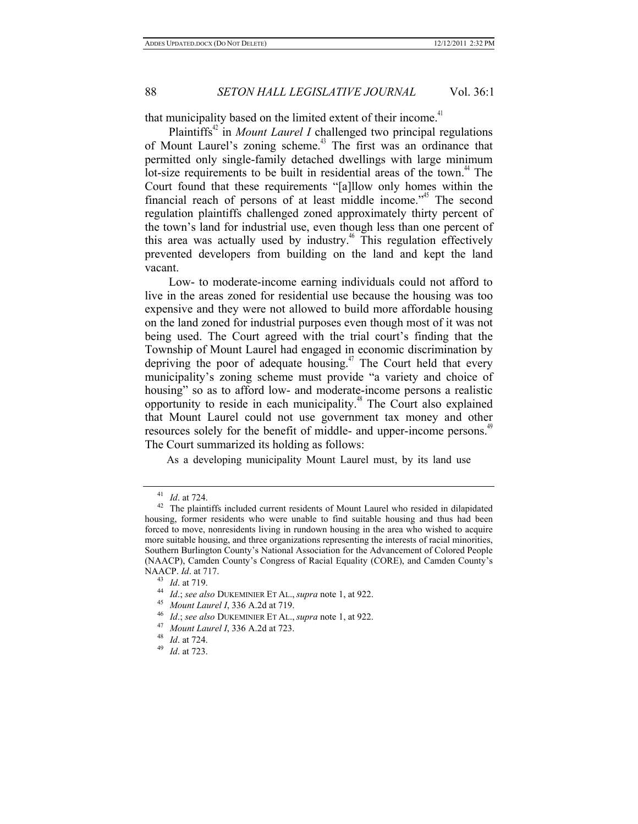that municipality based on the limited extent of their income.<sup>41</sup>

Plaintiffs<sup>42</sup> in *Mount Laurel I* challenged two principal regulations of Mount Laurel's zoning scheme.<sup>43</sup> The first was an ordinance that permitted only single-family detached dwellings with large minimum lot-size requirements to be built in residential areas of the town.<sup>44</sup> The Court found that these requirements "[a]llow only homes within the financial reach of persons of at least middle income.<sup>"45</sup> The second regulation plaintiffs challenged zoned approximately thirty percent of the town's land for industrial use, even though less than one percent of this area was actually used by industry.<sup> $46$ </sup> This regulation effectively prevented developers from building on the land and kept the land vacant.

Low- to moderate-income earning individuals could not afford to live in the areas zoned for residential use because the housing was too expensive and they were not allowed to build more affordable housing on the land zoned for industrial purposes even though most of it was not being used. The Court agreed with the trial court's finding that the Township of Mount Laurel had engaged in economic discrimination by depriving the poor of adequate housing.<sup>47</sup> The Court held that every municipality's zoning scheme must provide "a variety and choice of housing" so as to afford low- and moderate-income persons a realistic opportunity to reside in each municipality.48 The Court also explained that Mount Laurel could not use government tax money and other resources solely for the benefit of middle- and upper-income persons.<sup>49</sup> The Court summarized its holding as follows:

As a developing municipality Mount Laurel must, by its land use

<sup>&</sup>lt;sup>41</sup> *Id.* at 724.<br><sup>42</sup> The plaintiffs included current residents of Mount Laurel who resided in dilapidated housing, former residents who were unable to find suitable housing and thus had been forced to move, nonresidents living in rundown housing in the area who wished to acquire more suitable housing, and three organizations representing the interests of racial minorities, Southern Burlington County's National Association for the Advancement of Colored People (NAACP), Camden County's Congress of Racial Equality (CORE), and Camden County's NAACP. *Id.* at 717.<br><sup>43</sup> *Id.* at 719.<br><sup>44</sup> *Id.*; *see also* DUKEMINIER ET AL., *supra* note 1, at 922.<br><sup>45</sup> *Mount Laurel I*, 336 A.2d at 719.<br><sup>46</sup> *Id.*; *see also* DUKEMINIER ET AL., *supra* note 1, at 922.<br><sup>47</sup> *Moun*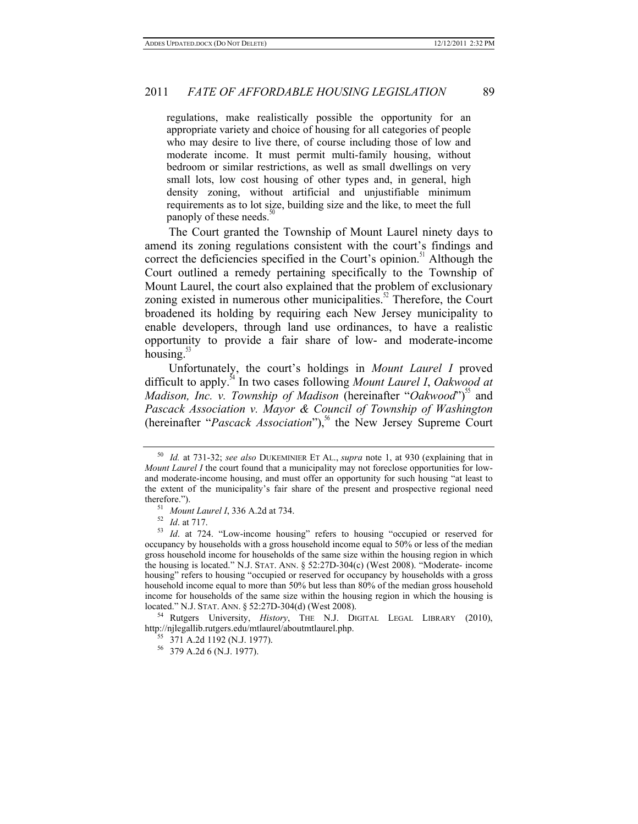regulations, make realistically possible the opportunity for an appropriate variety and choice of housing for all categories of people who may desire to live there, of course including those of low and moderate income. It must permit multi-family housing, without bedroom or similar restrictions, as well as small dwellings on very small lots, low cost housing of other types and, in general, high density zoning, without artificial and unjustifiable minimum requirements as to lot size, building size and the like, to meet the full panoply of these needs.<sup>31</sup>

The Court granted the Township of Mount Laurel ninety days to amend its zoning regulations consistent with the court's findings and correct the deficiencies specified in the Court's opinion.<sup>51</sup> Although the Court outlined a remedy pertaining specifically to the Township of Mount Laurel, the court also explained that the problem of exclusionary zoning existed in numerous other municipalities.<sup>52</sup> Therefore, the Court broadened its holding by requiring each New Jersey municipality to enable developers, through land use ordinances, to have a realistic opportunity to provide a fair share of low- and moderate-income housing. $53$ 

Unfortunately, the court's holdings in *Mount Laurel I* proved difficult to apply.54 In two cases following *Mount Laurel I*, *Oakwood at Madison, Inc. v. Township of Madison* (hereinafter "*Oakwood*")<sup>55</sup> and *Pascack Association v. Mayor & Council of Township of Washington* (hereinafter "*Pascack Association*"),<sup>56</sup> the New Jersey Supreme Court

located." N.J. STAT. ANN. § 52:27D-304(d) (West 2008). 54 Rutgers University, *History*, THE N.J. DIGITAL LEGAL LIBRARY (2010), http://njlegallib.rutgers.edu/mtlaurel/aboutmtlaurel.php.<br><sup>55</sup> 371 A.2d 1192 (N.J. 1977).<br><sup>56</sup> 379 A.2d 6 (N.J. 1977).

<sup>50</sup> *Id.* at 731-32; *see also* DUKEMINIER ET AL., *supra* note 1, at 930 (explaining that in *Mount Laurel I* the court found that a municipality may not foreclose opportunities for lowand moderate-income housing, and must offer an opportunity for such housing "at least to the extent of the municipality's fair share of the present and prospective regional need therefore.").<br><sup>51</sup> *Mount Laurel I*, 336 A.2d at 734.<br><sup>52</sup> *Id.* at 717.<br><sup>53</sup> *Id.* at 724. "Low-income housing" refers to housing "occupied or reserved for

occupancy by households with a gross household income equal to 50% or less of the median gross household income for households of the same size within the housing region in which the housing is located." N.J. STAT. ANN. § 52:27D-304(c) (West 2008). "Moderate- income housing" refers to housing "occupied or reserved for occupancy by households with a gross household income equal to more than 50% but less than 80% of the median gross household income for households of the same size within the housing region in which the housing is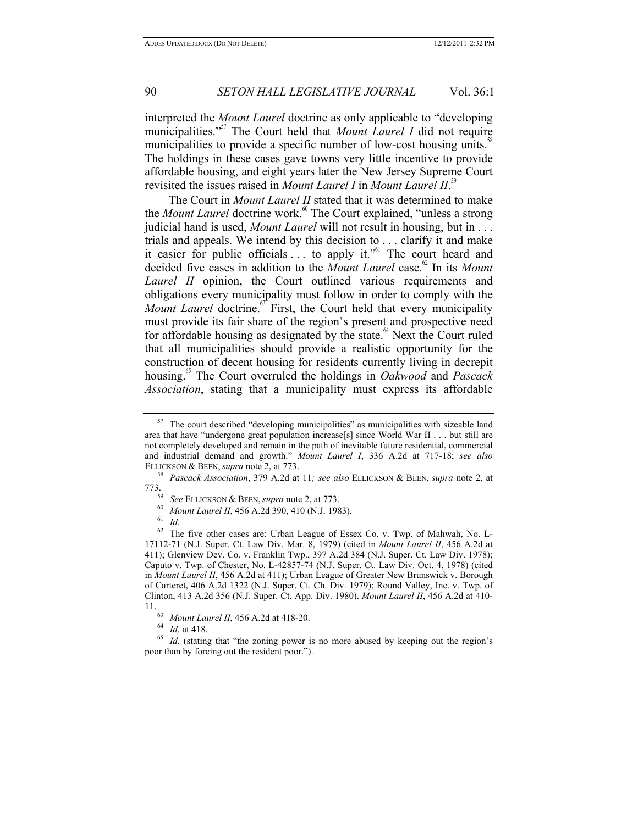interpreted the *Mount Laurel* doctrine as only applicable to "developing municipalities."<sup>57</sup> The Court held that *Mount Laurel I* did not require municipalities to provide a specific number of low-cost housing units. $\frac{58}{5}$ The holdings in these cases gave towns very little incentive to provide affordable housing, and eight years later the New Jersey Supreme Court revisited the issues raised in *Mount Laurel I* in *Mount Laurel II*. 59

The Court in *Mount Laurel II* stated that it was determined to make the *Mount Laurel* doctrine work.<sup>60</sup> The Court explained, "unless a strong judicial hand is used, *Mount Laurel* will not result in housing, but in . . . trials and appeals. We intend by this decision to . . . clarify it and make it easier for public officials  $\ldots$  to apply it.<sup> $561$ </sup> The court heard and decided five cases in addition to the *Mount Laurel* case. 62 In its *Mount Laurel II* opinion, the Court outlined various requirements and obligations every municipality must follow in order to comply with the *Mount Laurel* doctrine.<sup>63</sup> First, the Court held that every municipality must provide its fair share of the region's present and prospective need for affordable housing as designated by the state.<sup>64</sup> Next the Court ruled that all municipalities should provide a realistic opportunity for the construction of decent housing for residents currently living in decrepit housing.65 The Court overruled the holdings in *Oakwood* and *Pascack Association*, stating that a municipality must express its affordable

The court described "developing municipalities" as municipalities with sizeable land area that have "undergone great population increase[s] since World War II . . . but still are not completely developed and remain in the path of inevitable future residential, commercial and industrial demand and growth." *Mount Laurel I*, 336 A.2d at 717-18; *see also* ELLICKSON & BEEN, *supra* note 2, at 773.<br><sup>58</sup> *Pascack Association*, 379 A.2d at 11*; see also* ELLICKSON & BEEN, *supra* note 2, at

<sup>&</sup>lt;sup>59</sup> *See ELLICKSON & BEEN, <i>supra* note 2, at 773.<br><sup>60</sup> *Mount Laurel II*, 456 A.2d 390, 410 (N.J. 1983).<br><sup>61</sup> *Id.* <sup>62</sup> The five other cases are: Urban League of Essex Co. v. Twp. of Mahwah, No. L-

<sup>17112-71 (</sup>N.J. Super. Ct. Law Div. Mar. 8, 1979) (cited in *Mount Laurel II*, 456 A.2d at 411); Glenview Dev. Co. v. Franklin Twp., 397 A.2d 384 (N.J. Super. Ct. Law Div. 1978); Caputo v. Twp. of Chester, No. L-42857-74 (N.J. Super. Ct. Law Div. Oct. 4, 1978) (cited in *Mount Laurel II*, 456 A.2d at 411); Urban League of Greater New Brunswick v. Borough of Carteret, 406 A.2d 1322 (N.J. Super. Ct. Ch. Div. 1979); Round Valley, Inc. v. Twp. of Clinton, 413 A.2d 356 (N.J. Super. Ct. App. Div. 1980). *Mount Laurel II*, 456 A.2d at 410-

<sup>11.&</sup>lt;br><sup>63</sup> *Mount Laurel II*, 456 A.2d at 418-20.<br><sup>64</sup> *Id.* (stating that "the zoning power is no more abused by keeping out the region's<br><sup>65</sup> *Id.* (stating that "the zoning power is no more abused by keeping out the regio poor than by forcing out the resident poor.").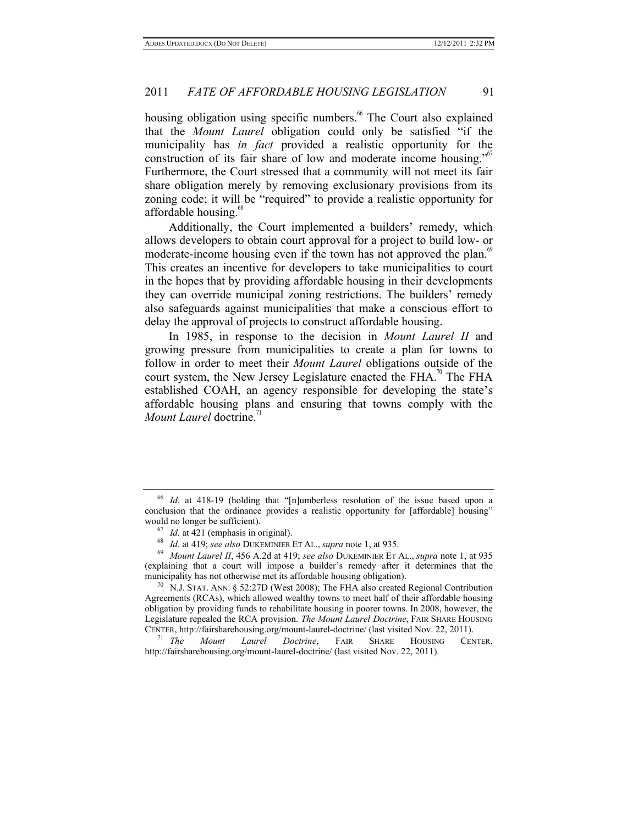housing obligation using specific numbers.<sup>66</sup> The Court also explained that the *Mount Laurel* obligation could only be satisfied "if the municipality has *in fact* provided a realistic opportunity for the construction of its fair share of low and moderate income housing." Furthermore, the Court stressed that a community will not meet its fair share obligation merely by removing exclusionary provisions from its zoning code; it will be "required" to provide a realistic opportunity for affordable housing.<sup>68</sup>

Additionally, the Court implemented a builders' remedy, which allows developers to obtain court approval for a project to build low- or moderate-income housing even if the town has not approved the plan.<sup>69</sup> This creates an incentive for developers to take municipalities to court in the hopes that by providing affordable housing in their developments they can override municipal zoning restrictions. The builders' remedy also safeguards against municipalities that make a conscious effort to delay the approval of projects to construct affordable housing.

In 1985, in response to the decision in *Mount Laurel II* and growing pressure from municipalities to create a plan for towns to follow in order to meet their *Mount Laurel* obligations outside of the court system, the New Jersey Legislature enacted the  $FHA$ <sup>, $n$ </sup> The  $FHA$ established COAH, an agency responsible for developing the state's affordable housing plans and ensuring that towns comply with the *Mount Laurel* doctrine.<sup>11</sup>

<sup>66</sup> *Id*. at 418-19 (holding that "[n]umberless resolution of the issue based upon a conclusion that the ordinance provides a realistic opportunity for [affordable] housing" would no longer be sufficient). 67 *Id*. at 421 (emphasis in original). 68 *Id*. at 419; *see also* DUKEMINIER ET AL., *supra* note 1, at 935.

<sup>69</sup> *Mount Laurel II*, 456 A.2d at 419; *see also* DUKEMINIER ET AL., *supra* note 1, at 935 (explaining that a court will impose a builder's remedy after it determines that the municipality has not otherwise met its affordable housing obligation).<br><sup>70</sup> N.J. STAT. ANN. § 52:27D (West 2008); The FHA also created Regional Contribution

Agreements (RCAs), which allowed wealthy towns to meet half of their affordable housing obligation by providing funds to rehabilitate housing in poorer towns. In 2008, however, the Legislature repealed the RCA provision. *The Mount Laurel Doctrine*, FAIR SHARE HOUSING CENTER, http://fairsharehousing.org/mount-laurel-doctrine/ (last visited Nov. 22, 2011). 71 *The Mount Laurel Doctrine*, FAIR SHARE HOUSING CENTER,

http://fairsharehousing.org/mount-laurel-doctrine/ (last visited Nov. 22, 2011).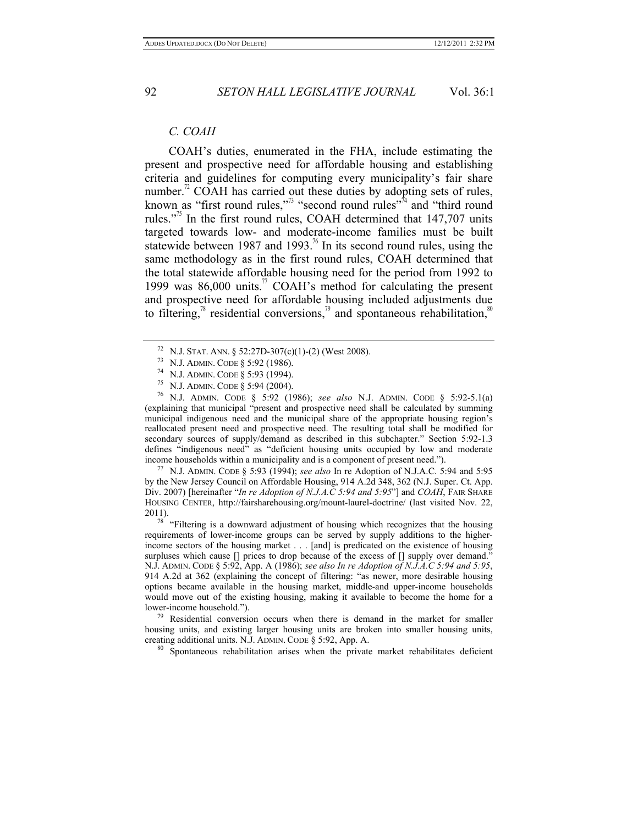### *C. COAH*

COAH's duties, enumerated in the FHA, include estimating the present and prospective need for affordable housing and establishing criteria and guidelines for computing every municipality's fair share number.<sup> $n$ </sup> COAH has carried out these duties by adopting sets of rules, known as "first round rules,"<sup>3</sup> "second round rules"<sup>74</sup> and "third round" rules."<sup>75</sup> In the first round rules, COAH determined that  $147,707$  units targeted towards low- and moderate-income families must be built statewide between 1987 and 1993.<sup> $\mu$ </sup> In its second round rules, using the same methodology as in the first round rules, COAH determined that the total statewide affordable housing need for the period from 1992 to 1999 was  $86,000$  units.<sup>77</sup> COAH's method for calculating the present and prospective need for affordable housing included adjustments due to filtering, $\frac{8}{3}$  residential conversions, $\frac{8}{3}$  and spontaneous rehabilitation,  $\frac{8}{3}$ 

<sup>72</sup> N.J. Stat. Ann. § 52:27D-307(c)(1)-(2) (West 2008).<br><sup>73</sup> N.J. ADMIN. CODE § 5:92 (1986).<br><sup>74</sup> N.J. ADMIN. CODE § 5:93 (1994).<br><sup>75</sup> N.J. ADMIN. CODE § 5:94 (2004).<br><sup>76</sup> N.J. ADMIN. CODE § 5:92 (1986); *see also* N.J. (explaining that municipal "present and prospective need shall be calculated by summing municipal indigenous need and the municipal share of the appropriate housing region's reallocated present need and prospective need. The resulting total shall be modified for secondary sources of supply/demand as described in this subchapter." Section 5:92-1.3 defines "indigenous need" as "deficient housing units occupied by low and moderate income households within a municipality and is a component of present need.").

<sup>77</sup> N.J. ADMIN. CODE § 5:93 (1994); *see also* In re Adoption of N.J.A.C. 5:94 and 5:95 by the New Jersey Council on Affordable Housing, 914 A.2d 348, 362 (N.J. Super. Ct. App. Div. 2007) [hereinafter "*In re Adoption of N.J.A.C 5:94 and 5:95*"] and *COAH*, FAIR SHARE HOUSING CENTER, http://fairsharehousing.org/mount-laurel-doctrine/ (last visited Nov. 22, 2011).  $\frac{78}{78}$  "Filtering is a downward adjustment of housing which recognizes that the housing

requirements of lower-income groups can be served by supply additions to the higherincome sectors of the housing market . . . [and] is predicated on the existence of housing surpluses which cause [] prices to drop because of the excess of [] supply over demand.' N.J. ADMIN. CODE § 5:92, App. A (1986); *see also In re Adoption of N.J.A.C 5:94 and 5:95*, 914 A.2d at 362 (explaining the concept of filtering: "as newer, more desirable housing options became available in the housing market, middle-and upper-income households would move out of the existing housing, making it available to become the home for a lower-income household."). 79 Residential conversion occurs when there is demand in the market for smaller

housing units, and existing larger housing units are broken into smaller housing units, creating additional units. N.J. ADMIN. CODE § 5:92, App. A. 80 Spontaneous rehabilitation arises when the private market rehabilitates deficient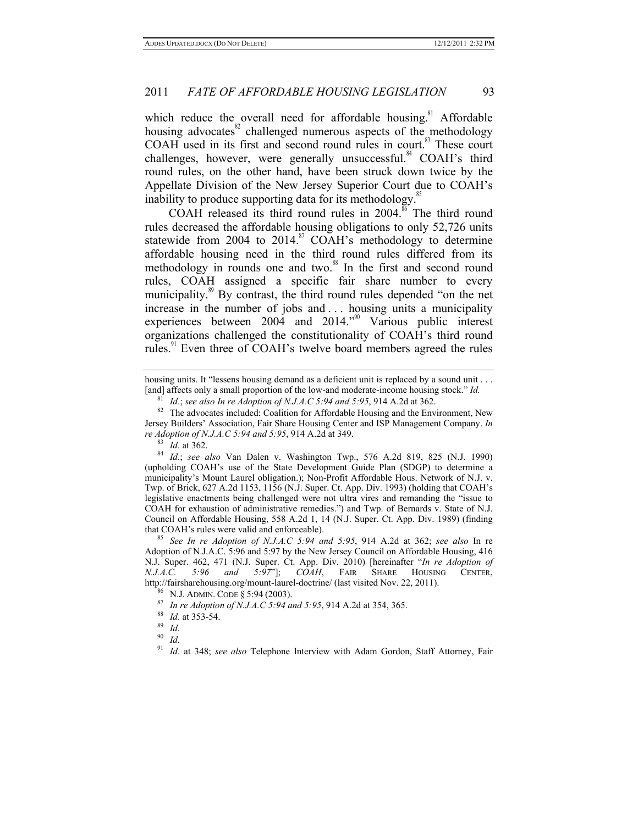which reduce the overall need for affordable housing.<sup>81</sup> Affordable housing advocates $82$  challenged numerous aspects of the methodology COAH used in its first and second round rules in court.<sup>83</sup> These court challenges, however, were generally unsuccessful.<sup>84</sup> COAH's third round rules, on the other hand, have been struck down twice by the Appellate Division of the New Jersey Superior Court due to COAH's inability to produce supporting data for its methodology. $\frac{85}{5}$ 

COAH released its third round rules in  $2004$ .<sup>86</sup> The third round rules decreased the affordable housing obligations to only 52,726 units statewide from 2004 to  $2014$ .<sup>87</sup> COAH's methodology to determine affordable housing need in the third round rules differed from its methodology in rounds one and two.<sup>88</sup> In the first and second round rules, COAH assigned a specific fair share number to every municipality.<sup>89</sup> By contrast, the third round rules depended "on the net increase in the number of jobs and . . . housing units a municipality experiences between  $200\overline{4}$  and  $2014.^{90}$  Various public interest organizations challenged the constitutionality of COAH's third round rules.<sup>91</sup> Even three of COAH's twelve board members agreed the rules

housing units. It "lessens housing demand as a deficient unit is replaced by a sound unit . . . [and] affects only a small proportion of the low-and moderate-income housing stock." *Id.*<br><sup>81</sup> *Id.*; *see also In re Adoption of N.J.A.C* 5:94 *and* 5:95, 914 A.2d at 362.

<sup>&</sup>lt;sup>82</sup> The advocates included: Coalition for Affordable Housing and the Environment, New Jersey Builders' Association, Fair Share Housing Center and ISP Management Company. *In re Adoption of N.J.A.C 5:94 and 5:95*, 914 A.2d at 349.<br><sup>83</sup> *Id.* at 362.<br><sup>84</sup> *Id.*; *see also* Van Dalen v. Washington Twp., 576 A.2d 819, 825 (N.J. 1990)

<sup>(</sup>upholding COAH's use of the State Development Guide Plan (SDGP) to determine a municipality's Mount Laurel obligation.); Non-Profit Affordable Hous. Network of N.J. v. Twp. of Brick, 627 A.2d 1153, 1156 (N.J. Super. Ct. App. Div. 1993) (holding that COAH's legislative enactments being challenged were not ultra vires and remanding the "issue to COAH for exhaustion of administrative remedies.") and Twp. of Bernards v. State of N.J. Council on Affordable Housing, 558 A.2d 1, 14 (N.J. Super. Ct. App. Div. 1989) (finding that COAH's rules were valid and enforceable). 85 *See In re Adoption of N.J.A.C 5:94 and 5:95*, 914 A.2d at 362; *see also* In re

Adoption of N.J.A.C. 5:96 and 5:97 by the New Jersey Council on Affordable Housing, 416 N.J. Super. 462, 471 (N.J. Super. Ct. App. Div. 2010) [hereinafter "*In re Adoption of N.J.A.C. 5:96 and 5:97*"]; *COAH*, FAIR SHARE HOUSING CENTER, http://fairsharehousing.org/mount-laurel-doctrine/ (last visited Nov. 22, 2011).<br><sup>86</sup> N.J. ADMIN. CODE § 5:94 (2003).

<sup>87</sup> *In re Adoption of N.J.A.C 5:94 and 5:95,* 914 A.2d at 354, 365.<br>
88 *Id.* at 353-54.<br>
90 *Id.*<br>
91 *Id.* at 348; *see also* Telephone Interview with Adam Gordon, Staff Attorney, Fair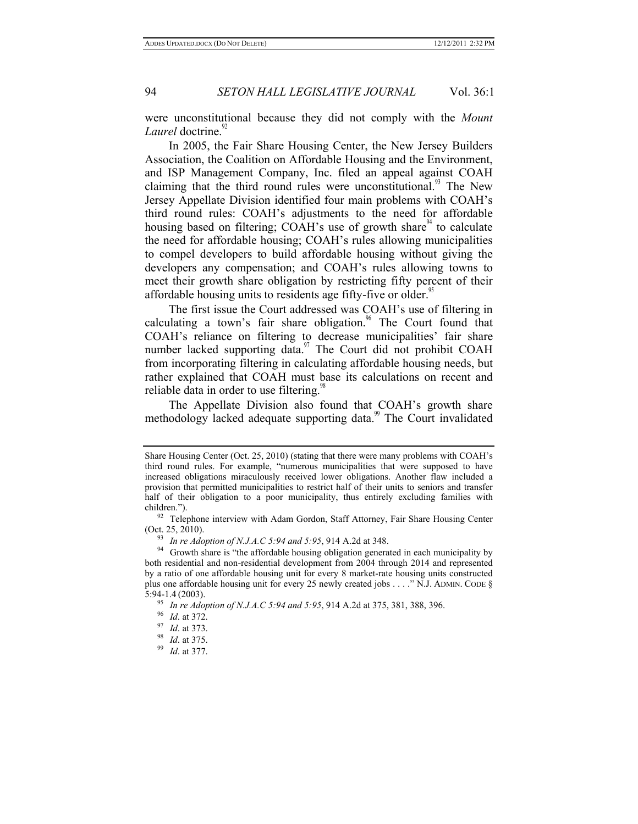were unconstitutional because they did not comply with the *Mount*  Laurel doctrine.<sup>9</sup>

In 2005, the Fair Share Housing Center, the New Jersey Builders Association, the Coalition on Affordable Housing and the Environment, and ISP Management Company, Inc. filed an appeal against COAH claiming that the third round rules were unconstitutional.<sup>93</sup> The New Jersey Appellate Division identified four main problems with COAH's third round rules: COAH's adjustments to the need for affordable housing based on filtering; COAH's use of growth share  $4^4$  to calculate the need for affordable housing; COAH's rules allowing municipalities to compel developers to build affordable housing without giving the developers any compensation; and COAH's rules allowing towns to meet their growth share obligation by restricting fifty percent of their affordable housing units to residents age fifty-five or older.<sup>95</sup>

The first issue the Court addressed was COAH's use of filtering in calculating a town's fair share obligation.<sup>96</sup> The Court found that COAH's reliance on filtering to decrease municipalities' fair share number lacked supporting data. $\frac{97}{10}$  The Court did not prohibit COAH from incorporating filtering in calculating affordable housing needs, but rather explained that COAH must base its calculations on recent and reliable data in order to use filtering.<sup>98</sup>

The Appellate Division also found that COAH's growth share methodology lacked adequate supporting data.<sup>99</sup> The Court invalidated

Share Housing Center (Oct. 25, 2010) (stating that there were many problems with COAH's third round rules. For example, "numerous municipalities that were supposed to have increased obligations miraculously received lower obligations. Another flaw included a provision that permitted municipalities to restrict half of their units to seniors and transfer half of their obligation to a poor municipality, thus entirely excluding families with

children."). 92 Telephone interview with Adam Gordon, Staff Attorney, Fair Share Housing Center

<sup>(</sup>Oct. 25, 2010).<br><sup>93</sup> *In re Adoption of N.J.A.C 5:94 and 5:95*, 914 A.2d at 348.<br><sup>94</sup> Growth share is "the affordable housing obligation generated in each municipality by both residential and non-residential development from 2004 through 2014 and represented by a ratio of one affordable housing unit for every 8 market-rate housing units constructed plus one affordable housing unit for every 25 newly created jobs . . . ." N.J. ADMIN. CODE § 5:94-1.4 (2003).

<sup>5:94-1.4</sup> (2003). 95 *In re Adoption of N.J.A.C 5:94 and 5:95*, 914 A.2d at 375, 381, 388, 396. 96 *Id*. at 372. 97 *Id*. at 373. 98 *Id*. at 375. 99 *Id*. at 377.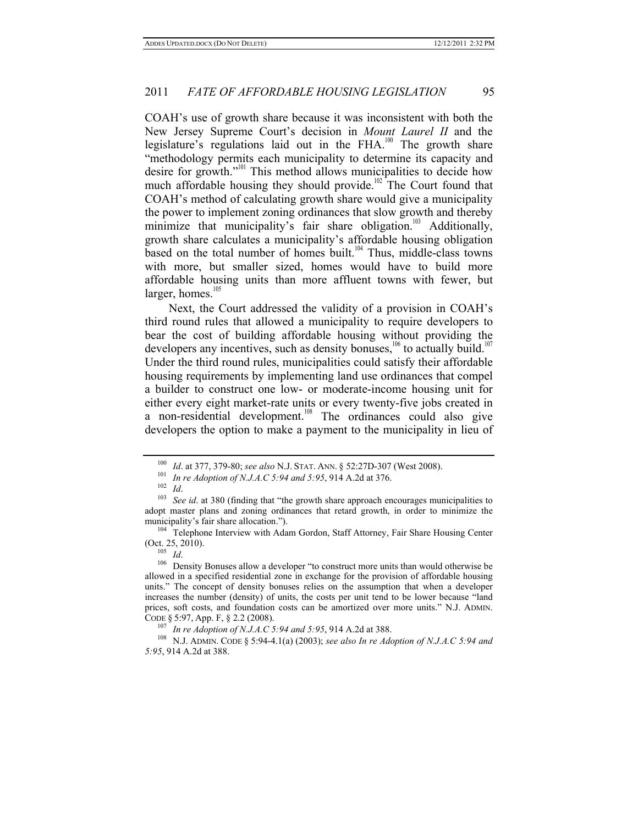COAH's use of growth share because it was inconsistent with both the New Jersey Supreme Court's decision in *Mount Laurel II* and the legislature's regulations laid out in the FHA.<sup>100</sup> The growth share "methodology permits each municipality to determine its capacity and desire for growth."<sup>101</sup> This method allows municipalities to decide how much affordable housing they should provide.<sup>102</sup> The Court found that COAH's method of calculating growth share would give a municipality the power to implement zoning ordinances that slow growth and thereby minimize that municipality's fair share obligation.<sup>103</sup> Additionally, growth share calculates a municipality's affordable housing obligation based on the total number of homes built.<sup>104</sup> Thus, middle-class towns with more, but smaller sized, homes would have to build more affordable housing units than more affluent towns with fewer, but larger, homes. $10$ 

Next, the Court addressed the validity of a provision in COAH's third round rules that allowed a municipality to require developers to bear the cost of building affordable housing without providing the developers any incentives, such as density bonuses,<sup>106</sup> to actually build.<sup>107</sup> Under the third round rules, municipalities could satisfy their affordable housing requirements by implementing land use ordinances that compel a builder to construct one low- or moderate-income housing unit for either every eight market-rate units or every twenty-five jobs created in a non-residential development.<sup>108</sup> The ordinances could also give developers the option to make a payment to the municipality in lieu of

(Oct. 25, 2010).<br> $\frac{105}{Id}$ .

<sup>&</sup>lt;sup>100</sup> *Id.* at 377, 379-80; see also N.J. STAT. ANN. § 52:27D-307 (West 2008).<br><sup>101</sup> *In re Adoption of N.J.A.C 5:94 and 5:95*, 914 A.2d at 376.<br><sup>102</sup> *Id.*<br><sup>103</sup> *See id.* at 380 (finding that "the growth share approach adopt master plans and zoning ordinances that retard growth, in order to minimize the municipality's fair share allocation.").<br><sup>104</sup> Telephone Interview with Adam Gordon, Staff Attorney, Fair Share Housing Center

<sup>&</sup>lt;sup>106</sup> Density Bonuses allow a developer "to construct more units than would otherwise be allowed in a specified residential zone in exchange for the provision of affordable housing units." The concept of density bonuses relies on the assumption that when a developer increases the number (density) of units, the costs per unit tend to be lower because "land prices, soft costs, and foundation costs can be amortized over more units." N.J. ADMIN. CODE § 5:97, App. F, § 2.2 (2008).<br><sup>107</sup> *In re Adoption of N.J.A.C 5:94 and 5:95*, 914 A.2d at 388.<br><sup>108</sup> N.J. ADMIN. CODE § 5:94-4.1(a) (2003); *see also In re Adoption of N.J.A.C 5:94 and* 

*<sup>5:95</sup>*, 914 A.2d at 388.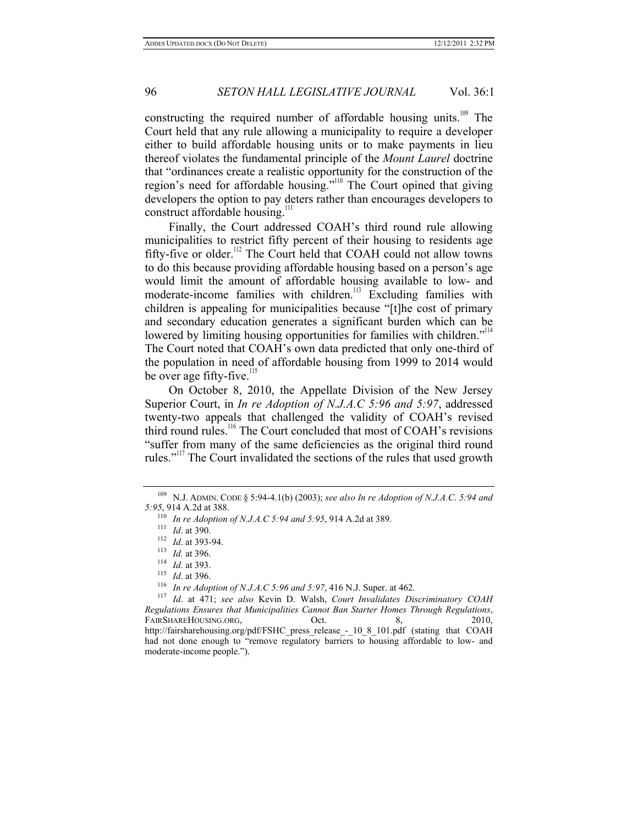constructing the required number of affordable housing units.<sup>109</sup> The Court held that any rule allowing a municipality to require a developer either to build affordable housing units or to make payments in lieu thereof violates the fundamental principle of the *Mount Laurel* doctrine that "ordinances create a realistic opportunity for the construction of the region's need for affordable housing."110 The Court opined that giving developers the option to pay deters rather than encourages developers to construct affordable housing.<sup>1</sup>

Finally, the Court addressed COAH's third round rule allowing municipalities to restrict fifty percent of their housing to residents age fifty-five or older.<sup>112</sup> The Court held that COAH could not allow towns to do this because providing affordable housing based on a person's age would limit the amount of affordable housing available to low- and moderate-income families with children.<sup>113</sup> Excluding families with children is appealing for municipalities because "[t]he cost of primary and secondary education generates a significant burden which can be lowered by limiting housing opportunities for families with children."<sup>114</sup> The Court noted that COAH's own data predicted that only one-third of the population in need of affordable housing from 1999 to 2014 would be over age fifty-five.<sup>115</sup>

On October 8, 2010, the Appellate Division of the New Jersey Superior Court, in *In re Adoption of N.J.A.C 5:96 and 5:97*, addressed twenty-two appeals that challenged the validity of COAH's revised third round rules.<sup>116</sup> The Court concluded that most of COAH's revisions "suffer from many of the same deficiencies as the original third round rules."<sup>117</sup> The Court invalidated the sections of the rules that used growth

<sup>109</sup> N.J. ADMIN. CODE § 5:94-4.1(b) (2003); *see also In re Adoption of N.J.A.C*. *5:94 and 5:95*, 914 A.2d at 388.

<sup>&</sup>lt;sup>110</sup> In re Adoption of N.J.A.C 5:94 and 5:95, 914 A.2d at 389.<br>
<sup>111</sup> Id. at 390.<br>
<sup>112</sup> Id. at 393-94.<br>
<sup>113</sup> Id. at 396.<br>
<sup>114</sup> Id. at 393.<br>
<sup>115</sup> Id. at 471: *see also* Kevin D. Walsh. *Court Invalidates Discriminator* 

*Regulations Ensures that Municipalities Cannot Ban Starter Homes Through Regulations*, FAIRSHAREHOUSING.ORG,  $\qquad \qquad$  Oct. 8, 2010, http://fairsharehousing.org/pdf/FSHC\_press\_release\_-\_ 10\_8\_101.pdf (stating that COAH had not done enough to "remove regulatory barriers to housing affordable to low- and moderate-income people.").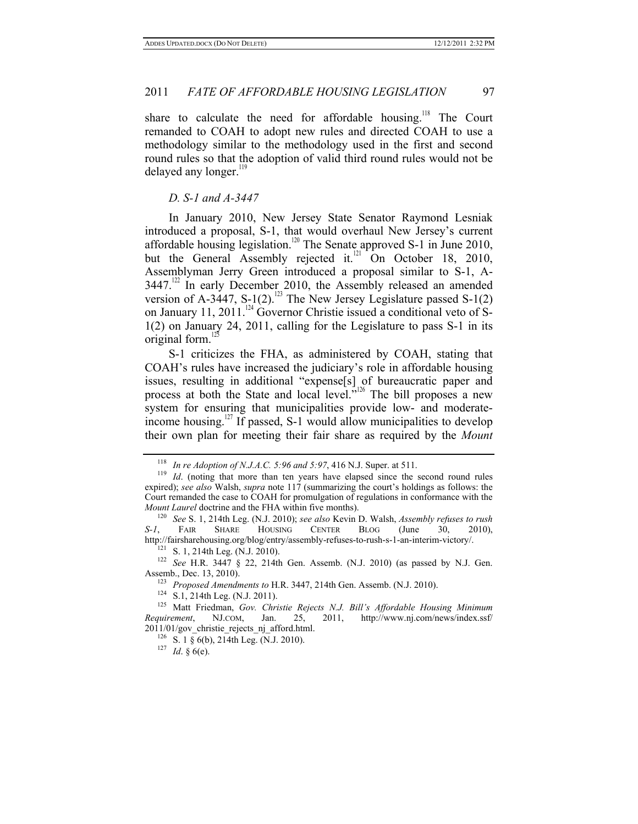share to calculate the need for affordable housing.<sup>118</sup> The Court remanded to COAH to adopt new rules and directed COAH to use a methodology similar to the methodology used in the first and second round rules so that the adoption of valid third round rules would not be delayed any longer.<sup>119</sup>

#### *D. S-1 and A-3447*

In January 2010, New Jersey State Senator Raymond Lesniak introduced a proposal, S-1, that would overhaul New Jersey's current affordable housing legislation.<sup>120</sup> The Senate approved S-1 in June 2010, but the General Assembly rejected it. $^{121}$  On October 18, 2010, Assemblyman Jerry Green introduced a proposal similar to S-1, A- $3447$ <sup>122</sup> In early December 2010, the Assembly released an amended version of A-3447, S-1(2).<sup>123</sup> The New Jersey Legislature passed S-1(2) on January 11, 2011.<sup>124</sup> Governor Christie issued a conditional veto of S-1(2) on January 24, 2011, calling for the Legislature to pass S-1 in its original form. $\overline{1}$ 

S-1 criticizes the FHA, as administered by COAH, stating that COAH's rules have increased the judiciary's role in affordable housing issues, resulting in additional "expense[s] of bureaucratic paper and process at both the State and local level."<sup>126</sup> The bill proposes a new system for ensuring that municipalities provide low- and moderateincome housing.<sup>127</sup> If passed, S-1 would allow municipalities to develop their own plan for meeting their fair share as required by the *Mount* 

<sup>&</sup>lt;sup>118</sup> *In re Adoption of N.J.A.C. 5:96 and 5:97,* 416 N.J. Super. at 511.<br><sup>119</sup> *Id.* (noting that more than ten years have elapsed since the second round rules expired); *see also* Walsh, *supra* note 117 (summarizing the court's holdings as follows: the Court remanded the case to COAH for promulgation of regulations in conformance with the *Mount Laurel* doctrine and the FHA within five months).<br><sup>120</sup> *See* S. 1, 214th Leg. (N.J. 2010); *see also* Kevin D. Walsh, *Assembly refuses to rush* 

*S-1*, FAIR SHARE HOUSING CENTER BLOG (June 30, 2010), http://fairsharehousing.org/blog/entry/assembly-refuses-to-rush-s-1-an-interim-victory/.<br><sup>121</sup> S. 1, 214th Leg. (N.J. 2010).<br><sup>122</sup> *See* H.R. 3447 § 22, 214th Gen. Assemb. (N.J. 2010) (as passed by N.J. Gen.

Assemb., Dec. 13, 2010).<br><sup>123</sup> *Proposed Amendments to* H.R. 3447, 214th Gen. Assemb. (N.J. 2010).<br><sup>124</sup> S.1, 214th Leg. (N.J. 2011).<br><sup>125</sup> Matt Friedman, *Gov. Christie Rejects N.J. Bill's Affordable Housing Minimum Requirement*, NJ.COM, Jan. 25, 2011, http://www.nj.com/news/index.ssf/

<sup>2011/01/</sup>gov\_christie\_rejects\_nj\_afford.html.<br><sup>126</sup> S. 1 § 6(b), 214th Leg. (N.J. 2010).<br><sup>127</sup> *Id.* § 6(e).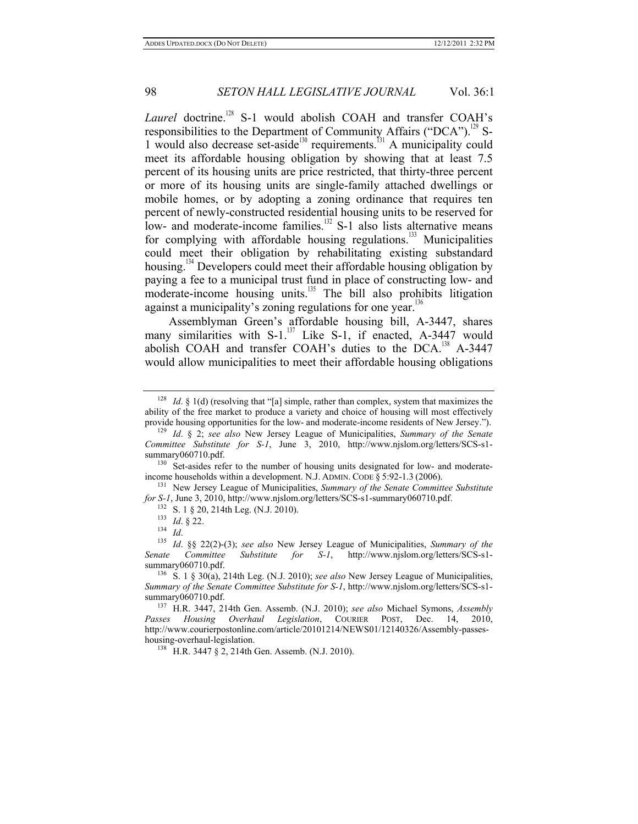Laurel doctrine.<sup>128</sup> S-1 would abolish COAH and transfer COAH's responsibilities to the Department of Community Affairs ("DCA").<sup>129</sup> S-1 would also decrease set-aside<sup>130</sup> requirements.<sup>131</sup> A municipality could meet its affordable housing obligation by showing that at least 7.5 percent of its housing units are price restricted, that thirty-three percent or more of its housing units are single-family attached dwellings or mobile homes, or by adopting a zoning ordinance that requires ten percent of newly-constructed residential housing units to be reserved for low- and moderate-income families.<sup>132</sup> S-1 also lists alternative means for complying with affordable housing regulations. $133$  Municipalities could meet their obligation by rehabilitating existing substandard housing.<sup>134</sup> Developers could meet their affordable housing obligation by paying a fee to a municipal trust fund in place of constructing low- and moderate-income housing units.<sup>135</sup> The bill also prohibits litigation against a municipality's zoning regulations for one year.<sup>136</sup>

Assemblyman Green's affordable housing bill, A-3447, shares many similarities with  $S-1$ .<sup>137</sup> Like S-1, if enacted, A-3447 would abolish COAH and transfer COAH's duties to the DCA.<sup>138</sup> A-3447 would allow municipalities to meet their affordable housing obligations

income households within a development. N.J. ADMIN. CODE § 5:92-1.3 (2006).<br><sup>131</sup> New Jersey League of Municipalities, *Summary of the Senate Committee Substitute for S-1*, June 3, 2010, http://www.njslom.org/letters/SCS-s

<sup>&</sup>lt;sup>128</sup> *Id.* § 1(d) (resolving that "[a] simple, rather than complex, system that maximizes the ability of the free market to produce a variety and choice of housing will most effectively provide housing opportunities for the low- and moderate-income residents of New Jersey.").

<sup>&</sup>lt;sup>129</sup> Id. § 2; *see also* New Jersey League of Municipalities, *Summary of the Senate Committee Substitute for S-1*, June 3, 2010, http://www.njslom.org/letters/SCS-s1 summary060710.pdf.<br><sup>130</sup> Set-asides refer to the number of housing units designated for low- and moderate-

<sup>&</sup>lt;sup>132</sup> S. 1 § 20, 214th Leg. (N.J. 2010).<br><sup>133</sup> Id. § 22.<br><sup>134</sup> Id. § 22(2)-(3); *see also* New Jersey League of Municipalities, *Summary of the Senate Committee Substitute for S-1*, http://www.njslom.org/letters/SCS-s1 summary060710.pdf.<br><sup>136</sup> S. 1 § 30(a), 214th Leg. (N.J. 2010); *see also* New Jersey League of Municipalities,

*Summary of the Senate Committee Substitute for S-1*, http://www.njslom.org/letters/SCS-s1-

<sup>&</sup>lt;sup>137</sup> H.R. 3447, 214th Gen. Assemb. (N.J. 2010); *see also* Michael Symons, *Assembly Passes Housing Overhaul Legislation*, COURIER POST, Dec. 14, 2010, http://www.courierpostonline.com/article/20101214/NEWS01/12140326/Assembly-passeshousing-overhaul-legislation.<br><sup>138</sup> H.R. 3447 § 2, 214th Gen. Assemb. (N.J. 2010).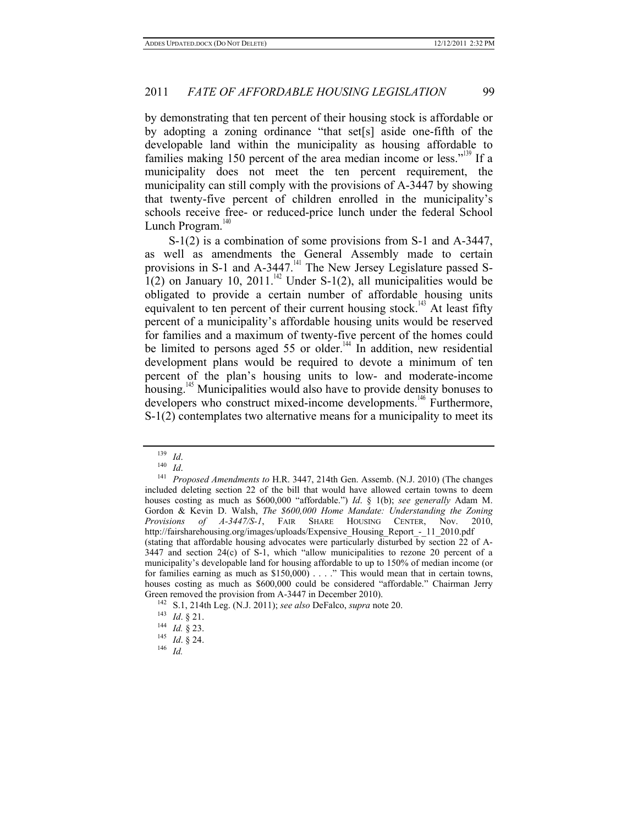by demonstrating that ten percent of their housing stock is affordable or by adopting a zoning ordinance "that set[s] aside one-fifth of the developable land within the municipality as housing affordable to families making 150 percent of the area median income or less."<sup>139</sup> If a municipality does not meet the ten percent requirement, the municipality can still comply with the provisions of A-3447 by showing that twenty-five percent of children enrolled in the municipality's schools receive free- or reduced-price lunch under the federal School Lunch Program. $140$ 

S-1(2) is a combination of some provisions from S-1 and A-3447, as well as amendments the General Assembly made to certain provisions in S-1 and  $A$ -3447.<sup>141</sup> The New Jersey Legislature passed S-1(2) on January 10, 2011.<sup>142</sup> Under S-1(2), all municipalities would be obligated to provide a certain number of affordable housing units equivalent to ten percent of their current housing stock.<sup>143</sup> At least fifty percent of a municipality's affordable housing units would be reserved for families and a maximum of twenty-five percent of the homes could be limited to persons aged 55 or older.<sup>144</sup> In addition, new residential development plans would be required to devote a minimum of ten percent of the plan's housing units to low- and moderate-income housing.<sup>145</sup> Municipalities would also have to provide density bonuses to developers who construct mixed-income developments.<sup>146</sup> Furthermore, S-1(2) contemplates two alternative means for a municipality to meet its

<sup>139</sup> *Id*. 140 *Id*. 141 *Proposed Amendments to* H.R. 3447, 214th Gen. Assemb. (N.J. 2010) (The changes included deleting section 22 of the bill that would have allowed certain towns to deem houses costing as much as \$600,000 "affordable.") *Id*. § 1(b); *see generally* Adam M. Gordon & Kevin D. Walsh, *The \$600,000 Home Mandate: Understanding the Zoning Provisions of A-3447/S-1*, FAIR SHARE HOUSING CENTER, Nov. 2010, http://fairsharehousing.org/images/uploads/Expensive\_Housing\_Report\_-\_11\_2010.pdf (stating that affordable housing advocates were particularly disturbed by section 22 of A-3447 and section 24(c) of S-1, which "allow municipalities to rezone 20 percent of a municipality's developable land for housing affordable to up to 150% of median income (or for families earning as much as \$150,000) . . . ." This would mean that in certain towns, houses costing as much as \$600,000 could be considered "affordable." Chairman Jerry Green removed the provision from A-3447 in December 2010).

<sup>&</sup>lt;sup>142</sup> S.1, 214th Leg. (N.J. 2011); *see also* DeFalco, *supra* note 20.<br>
<sup>143</sup> *Id.* § 21.<br>
<sup>144</sup> *Id.* § 23.<br>
<sup>145</sup> *Id.* § 24.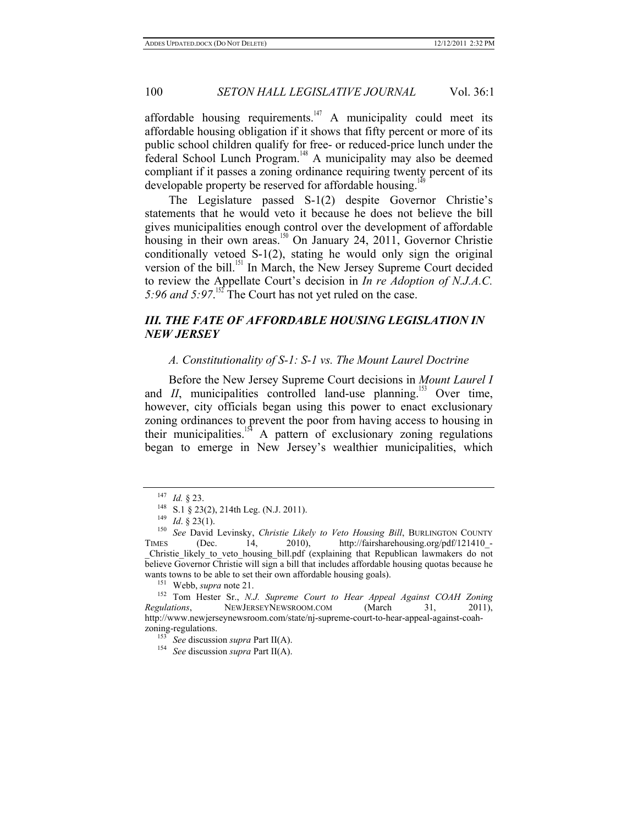affordable housing requirements.<sup>147</sup> A municipality could meet its affordable housing obligation if it shows that fifty percent or more of its public school children qualify for free- or reduced-price lunch under the federal School Lunch Program.<sup>148</sup> A municipality may also be deemed compliant if it passes a zoning ordinance requiring twenty percent of its developable property be reserved for affordable housing.<sup>1</sup>

The Legislature passed S-1(2) despite Governor Christie's statements that he would veto it because he does not believe the bill gives municipalities enough control over the development of affordable housing in their own areas.<sup>150</sup> On January 24, 2011, Governor Christie conditionally vetoed S-1(2), stating he would only sign the original version of the bill.<sup>151</sup> In March, the New Jersey Supreme Court decided to review the Appellate Court's decision in *In re Adoption of N.J.A.C.*  5:96 and 5:97.<sup>152</sup> The Court has not yet ruled on the case.

# *III. THE FATE OF AFFORDABLE HOUSING LEGISLATION IN NEW JERSEY*

# *A. Constitutionality of S-1: S-1 vs. The Mount Laurel Doctrine*

Before the New Jersey Supreme Court decisions in *Mount Laurel I* and  $II$ , municipalities controlled land-use planning.<sup>153</sup> Over time, however, city officials began using this power to enact exclusionary zoning ordinances to prevent the poor from having access to housing in their municipalities.<sup>154</sup> A pattern of exclusionary zoning regulations began to emerge in New Jersey's wealthier municipalities, which

<sup>147</sup> *Id.* § 23.<br><sup>148</sup> S.1 § 23(2), 214th Leg. (N.J. 2011).<br><sup>149</sup> *Id.* § 23(1).<br><sup>150</sup> *See* David Levinsky, *Christie Likely to Veto Housing Bill*, BURLINGTON COUNTY TIMES (Dec. 14, 2010), http://fairsharehousing.org/pdf/121410-Christie likely to veto housing bill.pdf (explaining that Republican lawmakers do not believe Governor Christie will sign a bill that includes affordable housing quotas because he wants towns to be able to set their own affordable housing goals).<br><sup>151</sup> Webb, *supra* note 21.<br><sup>152</sup> Tom Hester Sr., *N.J. Supreme Court to Hear Appeal Against COAH Zoning* 

*Regulations*, NEWJERSEYNEWSROOM.COM (March 31, 2011), http://www.newjerseynewsroom.com/state/nj-supreme-court-to-hear-appeal-against-coahzoning-regulations. 153 *See* discussion *supra* Part II(A). 154 *See* discussion *supra* Part II(A).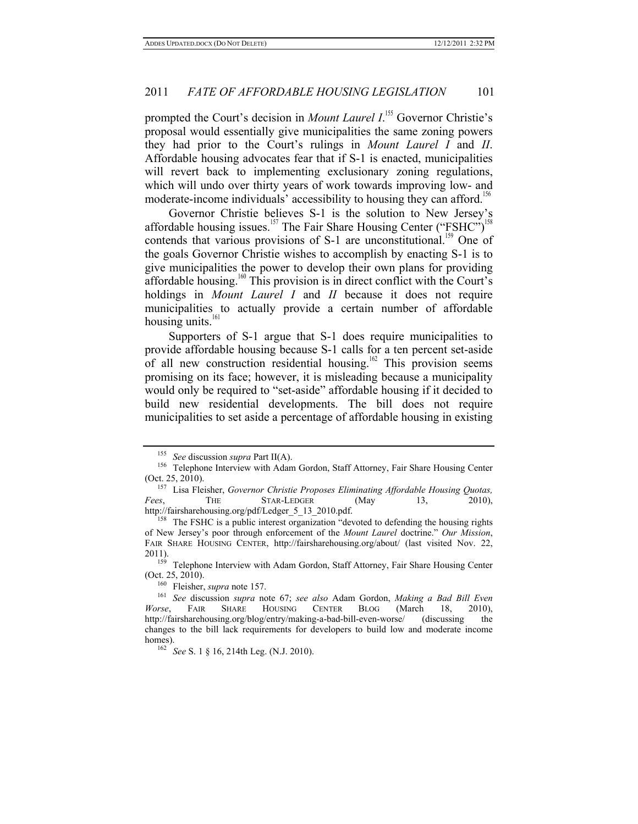prompted the Court's decision in *Mount Laurel I*.<sup>155</sup> Governor Christie's proposal would essentially give municipalities the same zoning powers they had prior to the Court's rulings in *Mount Laurel I* and *II*. Affordable housing advocates fear that if S-1 is enacted, municipalities will revert back to implementing exclusionary zoning regulations, which will undo over thirty years of work towards improving low- and moderate-income individuals' accessibility to housing they can afford.<sup>156</sup>

Governor Christie believes S-1 is the solution to New Jersey's affordable housing issues.<sup>157</sup> The Fair Share Housing Center ("FSHC")<sup>158</sup> contends that various provisions of S-1 are unconstitutional.<sup>159</sup> One of the goals Governor Christie wishes to accomplish by enacting S-1 is to give municipalities the power to develop their own plans for providing affordable housing.<sup>160</sup> This provision is in direct conflict with the Court's holdings in *Mount Laurel I* and *II* because it does not require municipalities to actually provide a certain number of affordable housing units.<sup>161</sup>

Supporters of S-1 argue that S-1 does require municipalities to provide affordable housing because S-1 calls for a ten percent set-aside of all new construction residential housing.<sup>162</sup> This provision seems promising on its face; however, it is misleading because a municipality would only be required to "set-aside" affordable housing if it decided to build new residential developments. The bill does not require municipalities to set aside a percentage of affordable housing in existing

<sup>&</sup>lt;sup>155</sup> *See* discussion *supra* Part II(A).<br><sup>156</sup> Telephone Interview with Adam Gordon, Staff Attorney, Fair Share Housing Center

<sup>(</sup>Oct. 25, 2010). 157 Lisa Fleisher, *Governor Christie Proposes Eliminating Affordable Housing Quotas, Fees*, THE STAR-LEDGER (May 13, 2010),

http://fairsharehousing.org/pdf/Ledger\_5\_13\_2010.pdf.<br><sup>158</sup> The FSHC is a public interest organization "devoted to defending the housing rights of New Jersey's poor through enforcement of the *Mount Laurel* doctrine." *Our Mission*, FAIR SHARE HOUSING CENTER, http://fairsharehousing.org/about/ (last visited Nov. 22,

<sup>2011). 159</sup> Telephone Interview with Adam Gordon, Staff Attorney, Fair Share Housing Center (Oct. 25, 2010).<br> $^{160}$  Fleisher, *supra* note 157.

<sup>&</sup>lt;sup>161</sup> See discussion *supra* note 67; see also Adam Gordon, *Making a Bad Bill Even Worse*, FAIR SHARE HOUSING CENTER BLOG (March 18, 2010), http://fairsharehousing.org/blog/entry/making-a-bad-bill-even-worse/ (discussing the changes to the bill lack requirements for developers to build low and moderate income homes). 162 *See* S. 1 § 16, 214th Leg. (N.J. 2010).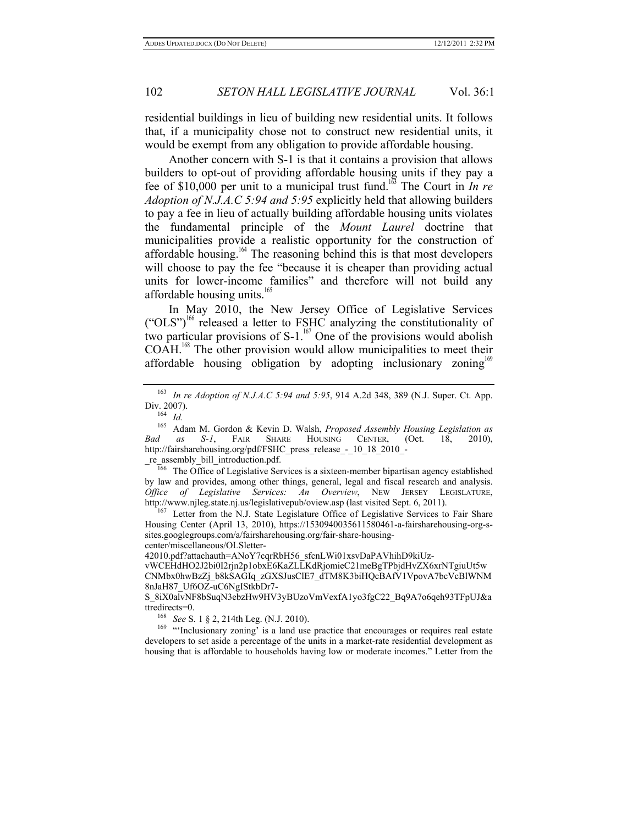residential buildings in lieu of building new residential units. It follows that, if a municipality chose not to construct new residential units, it would be exempt from any obligation to provide affordable housing.

Another concern with S-1 is that it contains a provision that allows builders to opt-out of providing affordable housing units if they pay a fee of \$10,000 per unit to a municipal trust fund.163 The Court in *In re Adoption of N.J.A.C 5:94 and 5:95* explicitly held that allowing builders to pay a fee in lieu of actually building affordable housing units violates the fundamental principle of the *Mount Laurel* doctrine that municipalities provide a realistic opportunity for the construction of affordable housing.164 The reasoning behind this is that most developers will choose to pay the fee "because it is cheaper than providing actual units for lower-income families" and therefore will not build any affordable housing units. $165$ 

In May 2010, the New Jersey Office of Legislative Services  $({\rm ^{\circ}OLS}^{\circ})^{166}$  released a letter to FSHC analyzing the constitutionality of two particular provisions of  $S-1$ <sup>167</sup> One of the provisions would abolish COAH.<sup>168</sup> The other provision would allow municipalities to meet their affordable housing obligation by adopting inclusionary zoning<sup>169</sup>

 $\overline{166}$  The Office of Legislative Services is a sixteen-member bipartisan agency established by law and provides, among other things, general, legal and fiscal research and analysis. *Office of Legislative Services: An Overview*, NEW JERSEY LEGISLATURE, http://www.njleg.state.nj.us/legislativepub/oview.asp (last visited Sept. 6, 2011).<br><sup>167</sup> Letter from the N.J. State Legislature Office of Legislative Services to Fair Share

Housing Center (April 13, 2010), https://1530940035611580461-a-fairsharehousing-org-ssites.googlegroups.com/a/fairsharehousing.org/fair-share-housingcenter/miscellaneous/OLSletter-

42010.pdf?attachauth=ANoY7cqrRbH56\_sfcnLWi01xsvDaPAVhihD9kiUz-

vWCEHdHO2J2bi0I2rjn2p1obxE6KaZLLKdRjomieC21meBgTPbjdHvZX6xrNTgiuUt5w CNMbx0hwBzZj\_b8kSAGIq\_zGXSJusClE7\_dTM8K3biHQcBAfV1VpovA7bcVcBlWNM 8nJaH87\_Uf6OZ-uC6NgIStkbDr7-

developers to set aside a percentage of the units in a market-rate residential development as housing that is affordable to households having low or moderate incomes." Letter from the

<sup>163</sup> *In re Adoption of N.J.A.C 5:94 and 5:95*, 914 A.2d 348, 389 (N.J. Super. Ct. App. Div. 2007). 164 *Id.*

<sup>165</sup> Adam M. Gordon & Kevin D. Walsh, *Proposed Assembly Housing Legislation as Bad as S-1*, FAIR SHARE HOUSING CENTER, (Oct. 18, 2010), http://fairsharehousing.org/pdf/FSHC\_press\_release\_-\_10\_18\_2010\_-<br>\_re\_assembly\_bill\_introduction.pdf.

S\_8iX0alvNF8bSuqN3ebzHw9HV3yBUzoVmVexfA1yo3fgC22\_Bq9A7o6qeh93TFpUJ&a ttredirects=0.<br><sup>168</sup> *See* S. 1 § 2, 214th Leg. (N.J. 2010).<br><sup>169</sup> "Inclusionary zoning' is a land use practice that encourages or requires real estate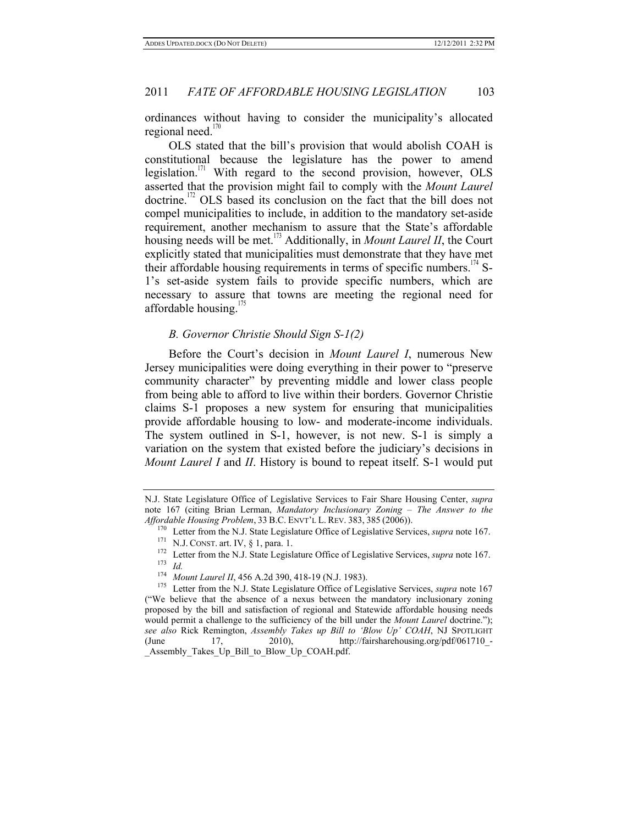ordinances without having to consider the municipality's allocated regional need. $\frac{1}{2}$ 

OLS stated that the bill's provision that would abolish COAH is constitutional because the legislature has the power to amend legislation.171 With regard to the second provision, however, OLS asserted that the provision might fail to comply with the *Mount Laurel*  doctrine.172 OLS based its conclusion on the fact that the bill does not compel municipalities to include, in addition to the mandatory set-aside requirement, another mechanism to assure that the State's affordable housing needs will be met.173 Additionally, in *Mount Laurel II*, the Court explicitly stated that municipalities must demonstrate that they have met their affordable housing requirements in terms of specific numbers.<sup>174</sup> S-1's set-aside system fails to provide specific numbers, which are necessary to assure that towns are meeting the regional need for affordable housing. $\frac{1}{5}$ 

### *B. Governor Christie Should Sign S-1(2)*

Before the Court's decision in *Mount Laurel I*, numerous New Jersey municipalities were doing everything in their power to "preserve community character" by preventing middle and lower class people from being able to afford to live within their borders. Governor Christie claims S-1 proposes a new system for ensuring that municipalities provide affordable housing to low- and moderate-income individuals. The system outlined in S-1, however, is not new. S-1 is simply a variation on the system that existed before the judiciary's decisions in *Mount Laurel I* and *II*. History is bound to repeat itself. S-1 would put

N.J. State Legislature Office of Legislative Services to Fair Share Housing Center, *supra* note 167 (citing Brian Lerman, *Mandatory Inclusionary Zoning – The Answer to the Affordable Housing Problem*, 33 B.C. ENVT'L L. REV. 383, 385 (2006)).

<sup>&</sup>lt;sup>170</sup> Letter from the N.J. State Legislature Office of Legislative Services, *supra* note 167.<br><sup>171</sup> N.J. CONST. art. IV, § 1, para. 1.<br><sup>172</sup> Letter from the N.J. State Legislature Office of Legislative Services, *supra*

<sup>&</sup>lt;sup>175</sup> Letter from the N.J. State Legislature Office of Legislative Services, *supra* note 167 ("We believe that the absence of a nexus between the mandatory inclusionary zoning proposed by the bill and satisfaction of regional and Statewide affordable housing needs would permit a challenge to the sufficiency of the bill under the *Mount Laurel* doctrine."); *see also* Rick Remington, *Assembly Takes up Bill to 'Blow Up' COAH*, NJ SPOTLIGHT (June 17, 2010), http://fairsharehousing.org/pdf/061710 -(June  $17,$  2010), http://fairsharehousing.org/pdf/061710 -\_Assembly\_Takes\_Up\_Bill\_to\_Blow\_Up\_COAH.pdf.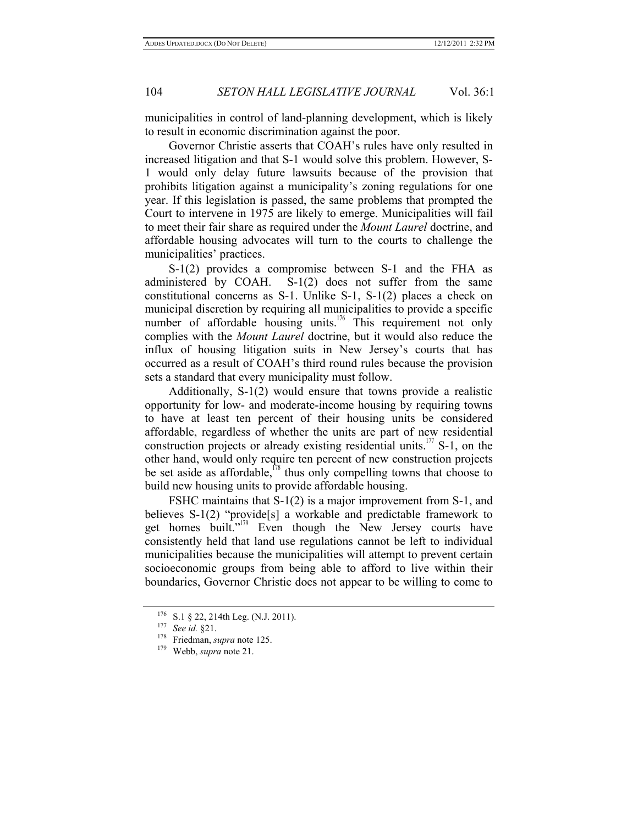municipalities in control of land-planning development, which is likely to result in economic discrimination against the poor.

Governor Christie asserts that COAH's rules have only resulted in increased litigation and that S-1 would solve this problem. However, S-1 would only delay future lawsuits because of the provision that prohibits litigation against a municipality's zoning regulations for one year. If this legislation is passed, the same problems that prompted the Court to intervene in 1975 are likely to emerge. Municipalities will fail to meet their fair share as required under the *Mount Laurel* doctrine, and affordable housing advocates will turn to the courts to challenge the municipalities' practices.

S-1(2) provides a compromise between S-1 and the FHA as administered by COAH. S-1(2) does not suffer from the same constitutional concerns as S-1. Unlike S-1, S-1(2) places a check on municipal discretion by requiring all municipalities to provide a specific number of affordable housing units.<sup>176</sup> This requirement not only complies with the *Mount Laurel* doctrine, but it would also reduce the influx of housing litigation suits in New Jersey's courts that has occurred as a result of COAH's third round rules because the provision sets a standard that every municipality must follow.

Additionally, S-1(2) would ensure that towns provide a realistic opportunity for low- and moderate-income housing by requiring towns to have at least ten percent of their housing units be considered affordable, regardless of whether the units are part of new residential construction projects or already existing residential units.<sup>177</sup> S-1, on the other hand, would only require ten percent of new construction projects be set aside as affordable,<sup>178</sup> thus only compelling towns that choose to build new housing units to provide affordable housing.

FSHC maintains that S-1(2) is a major improvement from S-1, and believes S-1(2) "provide<sup>[s]</sup> a workable and predictable framework to get homes built."<sup>179</sup> Even though the New Jersey courts have consistently held that land use regulations cannot be left to individual municipalities because the municipalities will attempt to prevent certain socioeconomic groups from being able to afford to live within their boundaries, Governor Christie does not appear to be willing to come to

<sup>176</sup> S.1 § 22, 214th Leg. (N.J. 2011). 177 *See id.* §21. 178 Friedman, *supra* note 125. 179 Webb, *supra* note 21.